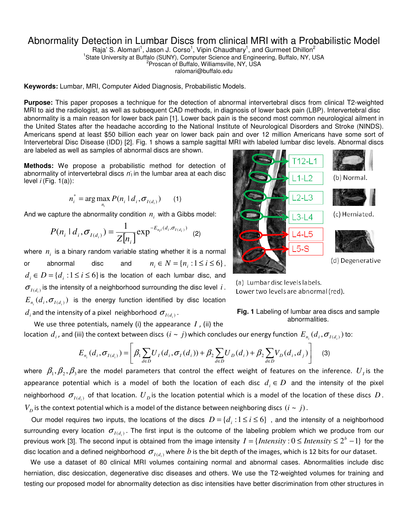## Abnormality Detection in Lumbar Discs from clinical MRI with a Probabilistic Model

Raja' S. Alomari<sup>1</sup>, Jason J. Corso<sup>1</sup>, Vipin Chaudhary<sup>1</sup>, and Gurmeet Dhillon<sup>2</sup> <sup>1</sup>State University at Buffalo (SUNY), Computer Science and Engineering, Buffalo, NY, USA <sup>2</sup> Proscan of Buffalo, Williamsville, NY, USA

ralomari@buffalo.edu

**Keywords:** Lumbar, MRI, Computer Aided Diagnosis, Probabilistic Models.

**Purpose:** This paper proposes a technique for the detection of abnormal intervertebral discs from clinical T2-weighted MRI to aid the radiologist, as well as subsequent CAD methods, in diagnosis of lower back pain (LBP). Intervertebral disc abnormality is a main reason for lower back pain [1]. Lower back pain is the second most common neurological ailment in the United States after the headache according to the National Institute of Neurological Disorders and Stroke (NINDS). Americans spend at least \$50 billion each year on lower back pain and over 12 million Americans have some sort of Intervertebral Disc Disease (IDD) [2]. Fig. 1 shows a sample sagittal MRI with labeled lumbar disc levels. Abnormal discs are labeled as well as samples of abnormal discs are shown.

**Methods:** We propose a probabilistic method for detection of abnormality of intervertebral discs  $n_1$  in the lumbar area at each disc level  $i$  (Fig. 1(a)):

$$
n_i^* = \arg \max_{n_i} P(n_i \mid d_i, \sigma_{I(d_i)}) \qquad (1)
$$

And we capture the abnormality condition  $n_i$  with a Gibbs model:

$$
P(n_i \mid d_i, \sigma_{I(d_i)}) = \frac{1}{Z[n_i]} \exp^{-E_{n_i}(d_i, \sigma_{I(d_i)})}
$$
 (2)

where  $n_i$  is a binary random variable stating whether it is a normal or abnormal disc and  $n_i \in N = \{n_i : 1 \le i \le 6\}$ ,  $d_i \in D = \{d_i : 1 \leq i \leq 6\}$  *is the location of each lumbar disc, and*  $\sigma_{_{I(d_i)}}$  is the intensity of a neighborhood surrounding the disc level i.  $E_{n_i}(d_i, \sigma_{I(d_i)})$  is the energy function identified by disc location  $d_i$  and the intensity of a pixel neighborhood  $\sigma_{I(d_i)}$  .



(a) Lumbar disc levels labels. Lower two levels are abnormal (red).



 We use three potentials, namely (i) the appearance *I* , (ii) the location  $d_i$ , and (iii) the context between discs  $(i \sim j)$  which concludes our energy function  $E_{n_i}(d_i, \sigma_{I(d_i)})$  to:

$$
E_{n_i}(d_i, \sigma_{I(d_i)}) = \left[ \beta_1 \sum_{d \in D} U_I(d_i, \sigma_I(d_i)) + \beta_2 \sum_{d \in D} U_D(d_i) + \beta_2 \sum_{d \in D} V_D(d_i, d_j) \right]
$$
(3)

where  $\beta_1, \beta_2, \beta_3$ are the model parameters that control the effect weight of features on the inference.  $U_I$  is the appearance potential which is a model of both the location of each disc  $d_i \in D$  and the intensity of the pixel neighborhood  $\sigma_{_{I(d_i)}}$  of that location.  $U_{\,D}$  is the location potential which is a model of the location of these discs  $\,D$  .  $V_D$  is the context potential which is a model of the distance between neighboring discs  $(i \sim j)$ .

Our model requires two inputs, the locations of the discs  $D = \{d_i : 1 \le i \le 6\}$ , and the intensity of a neighborhood surrounding every location  $\sigma_{I(d_i)}$ . The first input is the outcome of the labeling problem which we produce from our previous work [3]. The second input is obtained from the image intensity  $I = \{Intensity : 0 \leq Intensity \leq 2^b - 1\}$  for the disc location and a defined neighborhood  $\sigma_{_{I(d_i)}}$  where  $b$  is the bit depth of the images, which is 12 bits for our dataset.

 We use a dataset of 80 clinical MRI volumes containing normal and abnormal cases. Abnormalities include disc herniation, disc desiccation, degenerative disc diseases and others. We use the T2-weighted volumes for training and testing our proposed model for abnormality detection as disc intensities have better discrimination from other structures in